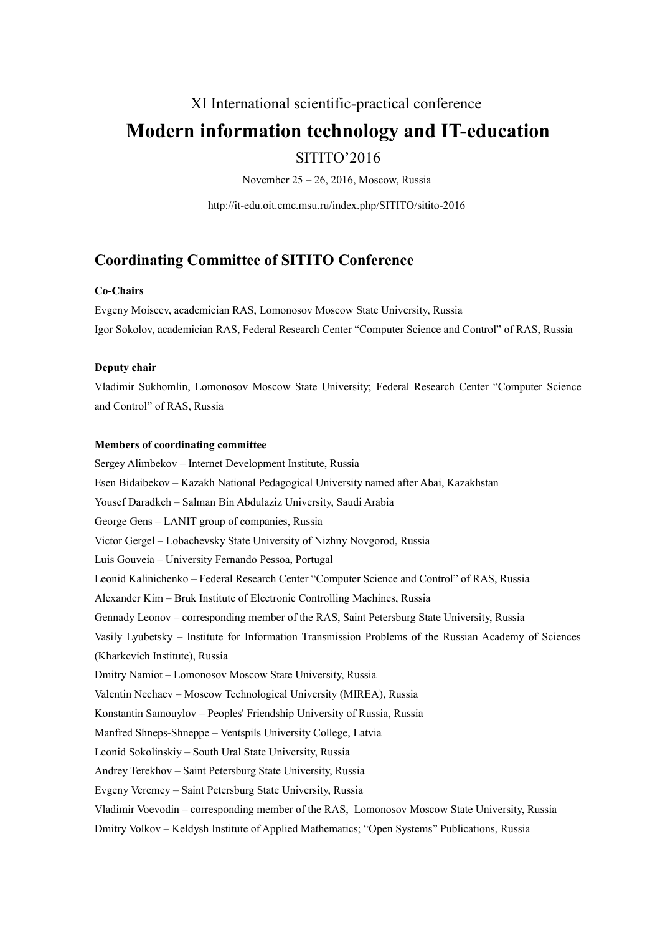## XI International scientific-practical conference

# **Modern information technology and IT-education**

## SITITO'2016

November 25 – 26, 2016, Moscow, Russia

http://it-edu.oit.cmc.msu.ru/index.php/SITITO/sitito-2016

## **Coordinating Committee of SITITO Conference**

#### **Co-Chairs**

Evgeny Moiseev, academician RAS, [Lomonosov Moscow State University,](http://www.msu.ru/en/) Russia Igor Sokolov, academician RAS, Federal Research Center "Computer Science and Control" of RAS, Russia

#### **Deputy chair**

Vladimir Sukhomlin, Lomonosov Moscow State University; Federal Research Center "Computer Science and Control" of RAS, Russia

#### **Members of coordinating committee**

Sergey Alimbekov – Internet Development Institute, Russia Esen Bidaibekov – Kazakh National Pedagogical University named after Abai, Kazakhstan Yousef Daradkeh – Salman Bin Abdulaziz University, Saudi Arabia George Gens – LANIT group of companies, Russia Victor Gergel – Lobachevsky State University of Nizhny Novgorod, Russia Luis Gouveia – University Fernando Pessoa, Portugal Leonid Kalinichenko – Federal Research Center "Computer Science and Control" of RAS, Russia Alexander Kim – Bruk Institute of Electronic Controlling Machines, Russia Gennady Leonov – corresponding member of the RAS, Saint Petersburg State University, Russia Vasily Lyubetsky – Institute for Information Transmission Problems of the Russian Academy of Sciences (Kharkevich Institute), Russia Dmitry Namiot – Lomonosov Moscow State University, Russia Valentin Nechaev – Moscow Technological University (MIREA), Russia Konstantin Samouylov – Peoples' Friendship University of Russia, Russia Manfred Shneps-Shneppe – Ventspils University College, Latvia Leonid Sokolinskiy – South Ural State University, Russia Andrey Terekhov – Saint Petersburg State University, Russia Evgeny Veremey – Saint Petersburg State University, Russia Vladimir Voevodin – corresponding member of the RAS, Lomonosov Moscow State University, Russia Dmitry Volkov – Keldysh Institute of Applied Mathematics; "Open Systems" Publications, Russia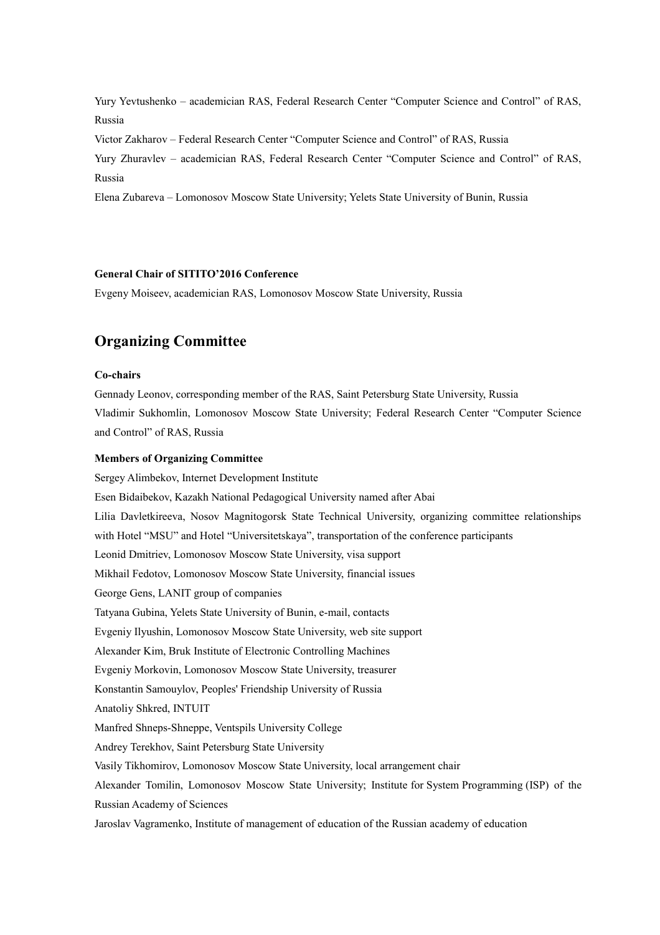Yury Yevtushenko – academician RAS, Federal Research Center "Computer Science and Control" of RAS, Russia

Victor Zakharov – Federal Research Center "Computer Science and Control" of RAS, Russia

Yury Zhuravlev – academician RAS, Federal Research Center "Computer Science and Control" of RAS, Russia

Elena Zubareva – Lomonosov Moscow State University; Yelets State University of Bunin, Russia

#### **General Chair of SITITO'2016 Conference**

Evgeny Moiseev, academician RAS, [Lomonosov Moscow State University,](http://www.msu.ru/en/) Russia

## **Organizing Committee**

#### **Co-chairs**

Gennady Leonov, corresponding member of the RAS, Saint Petersburg State University, Russia Vladimir Sukhomlin, Lomonosov Moscow State University; Federal Research Center "Computer Science and Control" of RAS, Russia

#### **Members of Organizing Committee**

Sergey Alimbekov, Internet Development Institute Esen Bidaibekov, Kazakh National Pedagogical University named after Abai Lilia Davletkireeva, Nosov Magnitogorsk State Technical University, organizing committee relationships with Hotel "MSU" and Hotel "Universitetskaya", transportation of the conference participants Leonid Dmitriev, Lomonosov Moscow State University, visa support Mikhail Fedotov, Lomonosov Moscow State University, financial issues George Gens, LANIT group of companies Tatyana Gubina, Yelets State University of Bunin, e-mail, contacts Evgeniy Ilyushin, Lomonosov Moscow State University, web site support Alexander Kim, Bruk Institute of Electronic Controlling Machines Evgeniy Morkovin, Lomonosov Moscow State University, treasurer Konstantin Samouylov, Peoples' Friendship University of Russia Anatoliy Shkred, INTUIT Manfred Shneps-Shneppe, Ventspils University College Andrey Terekhov, Saint Petersburg State University Vasily Tikhomirov, Lomonosov Moscow State University, local arrangement chair Alexander Tomilin, Lomonosov Moscow State University; Institute for System Programming (ISP) of the Russian Academy of Sciences Jaroslav Vagramenko, Institute of management of education of the Russian academy of education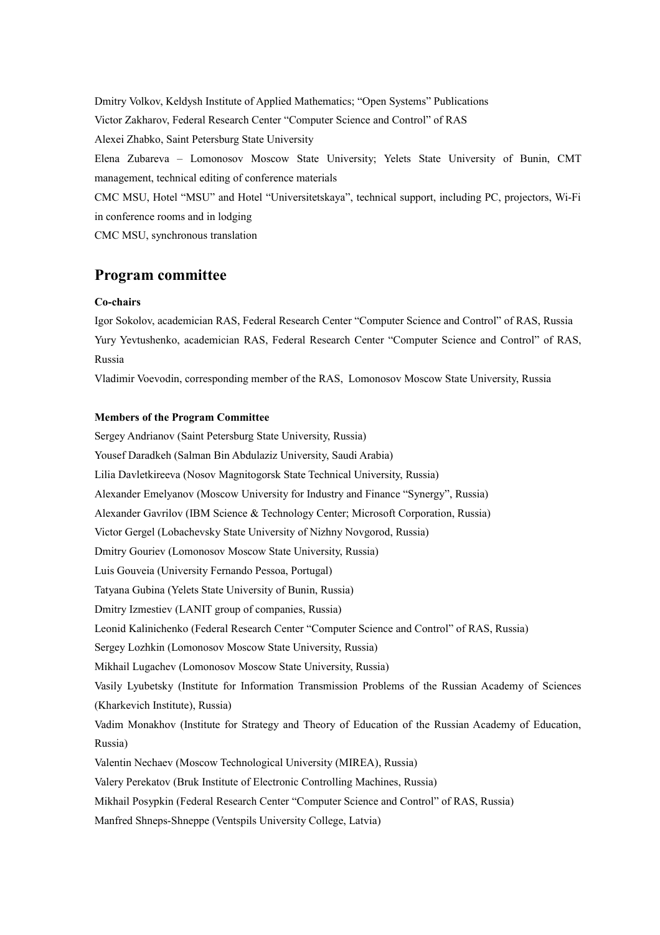Dmitry Volkov, Keldysh Institute of Applied Mathematics; "Open Systems" Publications Victor Zakharov, Federal Research Center "Computer Science and Control" of RAS Alexei Zhabko, Saint Petersburg State University Elena Zubareva – Lomonosov Moscow State University; Yelets State University of Bunin, CMT management, technical editing of conference materials CMC MSU, Hotel "MSU" and Hotel "Universitetskaya", technical support, including PC, projectors, Wi-Fi

in conference rooms and in lodging

CMC MSU, synchronous translation

## **Program committee**

#### **Co-chairs**

Igor Sokolov, academician RAS, Federal Research Center "Computer Science and Control" of RAS, Russia Yury Yevtushenko, academician RAS, Federal Research Center "Computer Science and Control" of RAS, Russia

Vladimir Voevodin, corresponding member of the RAS, Lomonosov Moscow State University, Russia

#### **Members of the Program Committee**

Sergey Andrianov (Saint Petersburg State University, Russia) Yousef Daradkeh (Salman Bin Abdulaziz University, Saudi Arabia) Lilia Davletkireeva (Nosov Magnitogorsk State Technical University, Russia) Alexander Emelyanov (Moscow University for Industry and Finance "Synergy", Russia) Alexander Gavrilov (IBM Science & Technology Center; Microsoft Corporation, Russia) Victor Gergel (Lobachevsky State University of Nizhny Novgorod, Russia) Dmitry Gouriev (Lomonosov Moscow State University, Russia) Luis Gouveia (University Fernando Pessoa, Portugal) Tatyana Gubina (Yelets State University of Bunin, Russia) Dmitry Izmestiev (LANIT group of companies, Russia) Leonid Kalinichenko (Federal Research Center "Computer Science and Control" of RAS, Russia) Sergey Lozhkin (Lomonosov Moscow State University, Russia) Mikhail Lugachev (Lomonosov Moscow State University, Russia) Vasily Lyubetsky (Institute for Information Transmission Problems of the Russian Academy of Sciences (Kharkevich Institute), Russia) Vadim Monakhov (Institute for Strategy and Theory of Education of the Russian Academy of Education, Russia) Valentin Nechaev (Moscow Technological University (MIREA), Russia) Valery Perekatov (Bruk Institute of Electronic Controlling Machines, Russia) Mikhail Posypkin (Federal Research Center "Computer Science and Control" of RAS, Russia)

Manfred Shneps-Shneppe (Ventspils University College, Latvia)